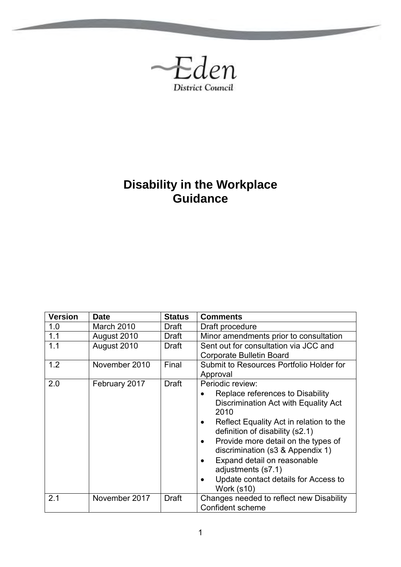

**Contract Contract** 

# **Disability in the Workplace Guidance**

| <b>Version</b> | <b>Date</b>   | <b>Status</b> | <b>Comments</b>                                                                                                                                                                                                                                                                                                                                                                 |
|----------------|---------------|---------------|---------------------------------------------------------------------------------------------------------------------------------------------------------------------------------------------------------------------------------------------------------------------------------------------------------------------------------------------------------------------------------|
| 1.0            | March 2010    | Draft         | Draft procedure                                                                                                                                                                                                                                                                                                                                                                 |
| 1.1            | August 2010   | Draft         | Minor amendments prior to consultation                                                                                                                                                                                                                                                                                                                                          |
| 1.1            | August 2010   | Draft         | Sent out for consultation via JCC and<br><b>Corporate Bulletin Board</b>                                                                                                                                                                                                                                                                                                        |
| 1.2            | November 2010 | Final         | Submit to Resources Portfolio Holder for<br>Approval                                                                                                                                                                                                                                                                                                                            |
| 2.0            | February 2017 | <b>Draft</b>  | Periodic review:<br>Replace references to Disability<br>Discrimination Act with Equality Act<br>2010<br>Reflect Equality Act in relation to the<br>definition of disability (s2.1)<br>Provide more detail on the types of<br>discrimination (s3 & Appendix 1)<br>Expand detail on reasonable<br>adjustments (s7.1)<br>Update contact details for Access to<br><b>Work (s10)</b> |
| 2.1            | November 2017 | <b>Draft</b>  | Changes needed to reflect new Disability<br>Confident scheme                                                                                                                                                                                                                                                                                                                    |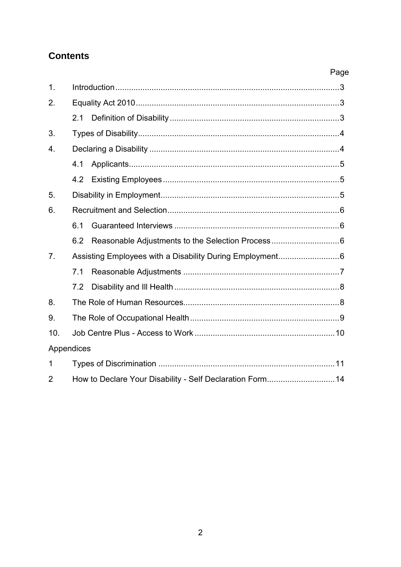## **Contents**

## Page

| 1.             |     |                                                          |  |  |
|----------------|-----|----------------------------------------------------------|--|--|
| 2.             |     |                                                          |  |  |
|                | 2.1 |                                                          |  |  |
| 3.             |     |                                                          |  |  |
| 4.             |     |                                                          |  |  |
|                | 4.1 |                                                          |  |  |
|                | 4.2 |                                                          |  |  |
| 5.             |     |                                                          |  |  |
| 6.             |     |                                                          |  |  |
|                | 6.1 |                                                          |  |  |
|                | 6.2 |                                                          |  |  |
| 7 <sub>1</sub> |     | Assisting Employees with a Disability During Employment6 |  |  |
|                | 7.1 |                                                          |  |  |
|                | 7.2 |                                                          |  |  |
| 8.             |     |                                                          |  |  |
| 9.             |     |                                                          |  |  |
| 10.            |     |                                                          |  |  |
| Appendices     |     |                                                          |  |  |
| 1              |     |                                                          |  |  |
| $\overline{2}$ |     | How to Declare Your Disability - Self Declaration Form14 |  |  |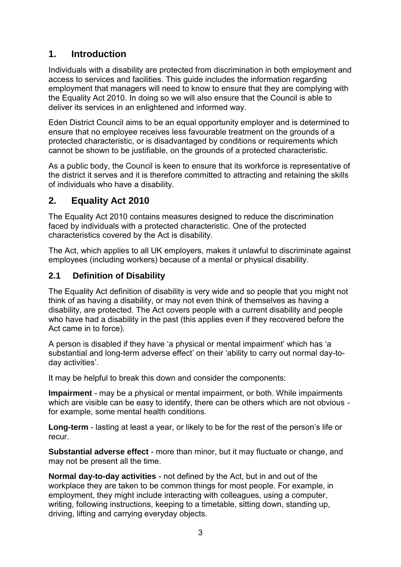## **1. Introduction**

Individuals with a disability are protected from discrimination in both employment and access to services and facilities. This guide includes the information regarding employment that managers will need to know to ensure that they are complying with the Equality Act 2010. In doing so we will also ensure that the Council is able to deliver its services in an enlightened and informed way.

Eden District Council aims to be an equal opportunity employer and is determined to ensure that no employee receives less favourable treatment on the grounds of a protected characteristic, or is disadvantaged by conditions or requirements which cannot be shown to be justifiable, on the grounds of a protected characteristic.

As a public body, the Council is keen to ensure that its workforce is representative of the district it serves and it is therefore committed to attracting and retaining the skills of individuals who have a disability.

## **2. Equality Act 2010**

The Equality Act 2010 contains measures designed to reduce the discrimination faced by individuals with a protected characteristic. One of the protected characteristics covered by the Act is disability.

The Act, which applies to all UK employers, makes it unlawful to discriminate against employees (including workers) because of a mental or physical disability.

#### **2.1 Definition of Disability**

The Equality Act definition of disability is very wide and so people that you might not think of as having a disability, or may not even think of themselves as having a disability, are protected. The Act covers people with a current disability and people who have had a disability in the past (this applies even if they recovered before the Act came in to force).

A person is disabled if they have 'a physical or mental impairment' which has 'a substantial and long-term adverse effect' on their 'ability to carry out normal day-today activities'.

It may be helpful to break this down and consider the components:

**Impairment** - may be a physical or mental impairment, or both. While impairments which are visible can be easy to identify, there can be others which are not obvious for example, some mental health conditions.

**Long-term** - lasting at least a year, or likely to be for the rest of the person's life or recur.

**Substantial adverse effect** - more than minor, but it may fluctuate or change, and may not be present all the time.

**Normal day-to-day activities** - not defined by the Act, but in and out of the workplace they are taken to be common things for most people. For example, in employment, they might include interacting with colleagues, using a computer, writing, following instructions, keeping to a timetable, sitting down, standing up, driving, lifting and carrying everyday objects.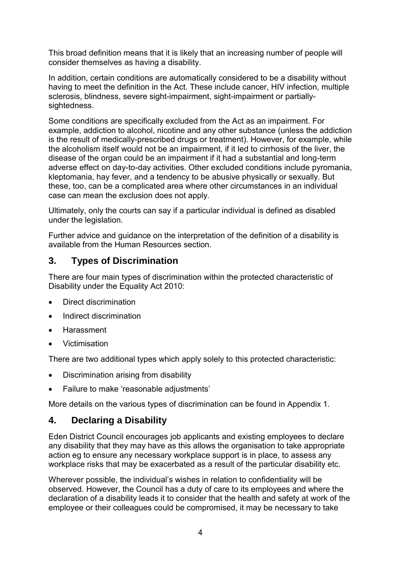This broad definition means that it is likely that an increasing number of people will consider themselves as having a disability.

In addition, certain conditions are automatically considered to be a disability without having to meet the definition in the Act. These include cancer, HIV infection, multiple sclerosis, blindness, severe sight-impairment, sight-impairment or partiallysightedness.

Some conditions are specifically excluded from the Act as an impairment. For example, addiction to alcohol, nicotine and any other substance (unless the addiction is the result of medically-prescribed drugs or treatment). However, for example, while the alcoholism itself would not be an impairment, if it led to cirrhosis of the liver, the disease of the organ could be an impairment if it had a substantial and long-term adverse effect on day-to-day activities. Other excluded conditions include pyromania, kleptomania, hay fever, and a tendency to be abusive physically or sexually. But these, too, can be a complicated area where other circumstances in an individual case can mean the exclusion does not apply.

Ultimately, only the courts can say if a particular individual is defined as disabled under the legislation.

Further advice and guidance on the interpretation of the definition of a disability is available from the Human Resources section.

### **3. Types of Discrimination**

There are four main types of discrimination within the protected characteristic of Disability under the Equality Act 2010:

- Direct discrimination
- Indirect discrimination
- Harassment
- Victimisation

There are two additional types which apply solely to this protected characteristic:

- Discrimination arising from disability
- Failure to make 'reasonable adjustments'

More details on the various types of discrimination can be found in Appendix 1.

### **4. Declaring a Disability**

Eden District Council encourages job applicants and existing employees to declare any disability that they may have as this allows the organisation to take appropriate action eg to ensure any necessary workplace support is in place, to assess any workplace risks that may be exacerbated as a result of the particular disability etc.

Wherever possible, the individual's wishes in relation to confidentiality will be observed. However, the Council has a duty of care to its employees and where the declaration of a disability leads it to consider that the health and safety at work of the employee or their colleagues could be compromised, it may be necessary to take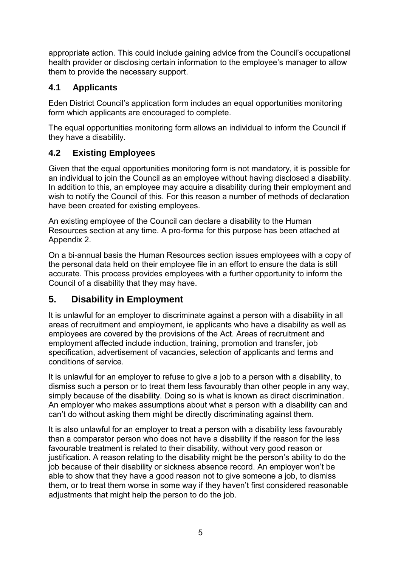appropriate action. This could include gaining advice from the Council's occupational health provider or disclosing certain information to the employee's manager to allow them to provide the necessary support.

### **4.1 Applicants**

Eden District Council's application form includes an equal opportunities monitoring form which applicants are encouraged to complete.

The equal opportunities monitoring form allows an individual to inform the Council if they have a disability.

## **4.2 Existing Employees**

Given that the equal opportunities monitoring form is not mandatory, it is possible for an individual to join the Council as an employee without having disclosed a disability. In addition to this, an employee may acquire a disability during their employment and wish to notify the Council of this. For this reason a number of methods of declaration have been created for existing employees.

An existing employee of the Council can declare a disability to the Human Resources section at any time. A pro-forma for this purpose has been attached at Appendix 2.

On a bi-annual basis the Human Resources section issues employees with a copy of the personal data held on their employee file in an effort to ensure the data is still accurate. This process provides employees with a further opportunity to inform the Council of a disability that they may have.

## **5. Disability in Employment**

It is unlawful for an employer to discriminate against a person with a disability in all areas of recruitment and employment, ie applicants who have a disability as well as employees are covered by the provisions of the Act. Areas of recruitment and employment affected include induction, training, promotion and transfer, job specification, advertisement of vacancies, selection of applicants and terms and conditions of service.

It is unlawful for an employer to refuse to give a job to a person with a disability, to dismiss such a person or to treat them less favourably than other people in any way, simply because of the disability. Doing so is what is known as direct discrimination. An employer who makes assumptions about what a person with a disability can and can't do without asking them might be directly discriminating against them.

It is also unlawful for an employer to treat a person with a disability less favourably than a comparator person who does not have a disability if the reason for the less favourable treatment is related to their disability, without very good reason or justification. A reason relating to the disability might be the person's ability to do the job because of their disability or sickness absence record. An employer won't be able to show that they have a good reason not to give someone a job, to dismiss them, or to treat them worse in some way if they haven't first considered reasonable adjustments that might help the person to do the job.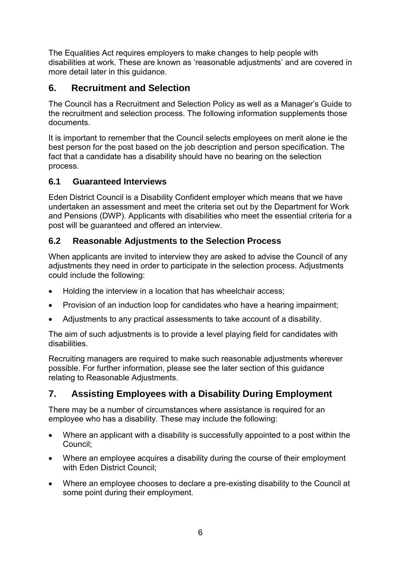The Equalities Act requires employers to make changes to help people with disabilities at work. These are known as 'reasonable adjustments' and are covered in more detail later in this guidance.

## **6. Recruitment and Selection**

The Council has a Recruitment and Selection Policy as well as a Manager's Guide to the recruitment and selection process. The following information supplements those documents.

It is important to remember that the Council selects employees on merit alone ie the best person for the post based on the job description and person specification. The fact that a candidate has a disability should have no bearing on the selection process.

### **6.1 Guaranteed Interviews**

Eden District Council is a Disability Confident employer which means that we have undertaken an assessment and meet the criteria set out by the Department for Work and Pensions (DWP). Applicants with disabilities who meet the essential criteria for a post will be guaranteed and offered an interview.

### **6.2 Reasonable Adjustments to the Selection Process**

When applicants are invited to interview they are asked to advise the Council of any adjustments they need in order to participate in the selection process. Adjustments could include the following:

- Holding the interview in a location that has wheelchair access;
- Provision of an induction loop for candidates who have a hearing impairment;
- Adjustments to any practical assessments to take account of a disability.

The aim of such adjustments is to provide a level playing field for candidates with disabilities.

Recruiting managers are required to make such reasonable adjustments wherever possible. For further information, please see the later section of this guidance relating to Reasonable Adjustments.

## **7. Assisting Employees with a Disability During Employment**

There may be a number of circumstances where assistance is required for an employee who has a disability. These may include the following:

- Where an applicant with a disability is successfully appointed to a post within the Council;
- Where an employee acquires a disability during the course of their employment with Eden District Council;
- Where an employee chooses to declare a pre-existing disability to the Council at some point during their employment.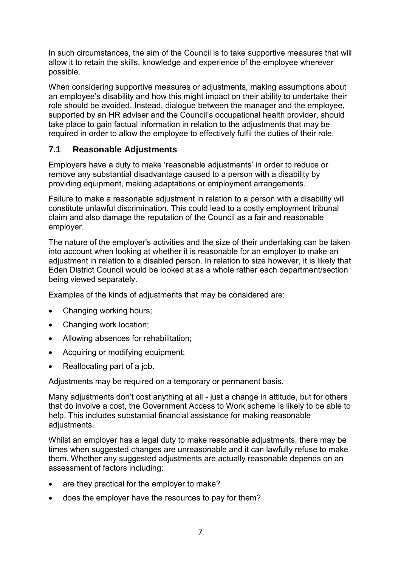In such circumstances, the aim of the Council is to take supportive measures that will allow it to retain the skills, knowledge and experience of the employee wherever possible.

When considering supportive measures or adjustments, making assumptions about an employee's disability and how this might impact on their ability to undertake their role should be avoided. Instead, dialogue between the manager and the employee, supported by an HR adviser and the Council's occupational health provider, should take place to gain factual information in relation to the adjustments that may be required in order to allow the employee to effectively fulfil the duties of their role.

#### **7.1 Reasonable Adjustments**

Employers have a duty to make 'reasonable adjustments' in order to reduce or remove any substantial disadvantage caused to a person with a disability by providing equipment, making adaptations or employment arrangements.

Failure to make a reasonable adjustment in relation to a person with a disability will constitute unlawful discrimination. This could lead to a costly employment tribunal claim and also damage the reputation of the Council as a fair and reasonable employer.

The nature of the employer's activities and the size of their undertaking can be taken into account when looking at whether it is reasonable for an employer to make an adjustment in relation to a disabled person. In relation to size however, it is likely that Eden District Council would be looked at as a whole rather each department/section being viewed separately.

Examples of the kinds of adjustments that may be considered are:

- Changing working hours;
- Changing work location;
- Allowing absences for rehabilitation;
- Acquiring or modifying equipment:
- Reallocating part of a job.

Adjustments may be required on a temporary or permanent basis.

Many adjustments don't cost anything at all - just a change in attitude, but for others that do involve a cost, the Government Access to Work scheme is likely to be able to help. This includes substantial financial assistance for making reasonable adiustments.

Whilst an employer has a legal duty to make reasonable adjustments, there may be times when suggested changes are unreasonable and it can lawfully refuse to make them. Whether any suggested adjustments are actually reasonable depends on an assessment of factors including:

- are they practical for the employer to make?
- does the employer have the resources to pay for them?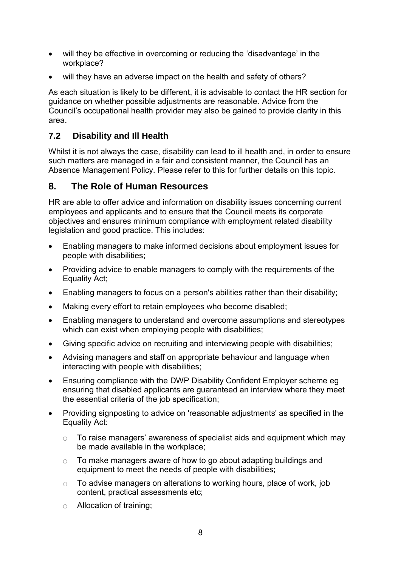- will they be effective in overcoming or reducing the 'disadvantage' in the workplace?
- will they have an adverse impact on the health and safety of others?

As each situation is likely to be different, it is advisable to contact the HR section for guidance on whether possible adjustments are reasonable. Advice from the Council's occupational health provider may also be gained to provide clarity in this area.

#### **7.2 Disability and Ill Health**

Whilst it is not always the case, disability can lead to ill health and, in order to ensure such matters are managed in a fair and consistent manner, the Council has an Absence Management Policy. Please refer to this for further details on this topic.

#### **8. The Role of Human Resources**

HR are able to offer advice and information on disability issues concerning current employees and applicants and to ensure that the Council meets its corporate objectives and ensures minimum compliance with employment related disability legislation and good practice. This includes:

- Enabling managers to make informed decisions about employment issues for people with disabilities;
- Providing advice to enable managers to comply with the requirements of the Equality Act;
- Enabling managers to focus on a person's abilities rather than their disability;
- Making every effort to retain employees who become disabled:
- Enabling managers to understand and overcome assumptions and stereotypes which can exist when employing people with disabilities:
- Giving specific advice on recruiting and interviewing people with disabilities;
- Advising managers and staff on appropriate behaviour and language when interacting with people with disabilities;
- Ensuring compliance with the DWP Disability Confident Employer scheme eg ensuring that disabled applicants are guaranteed an interview where they meet the essential criteria of the job specification;
- Providing signposting to advice on 'reasonable adjustments' as specified in the Equality Act:
	- To raise managers' awareness of specialist aids and equipment which may be made available in the workplace;
	- $\circ$  To make managers aware of how to go about adapting buildings and equipment to meet the needs of people with disabilities;
	- To advise managers on alterations to working hours, place of work, job content, practical assessments etc;
	- Allocation of training;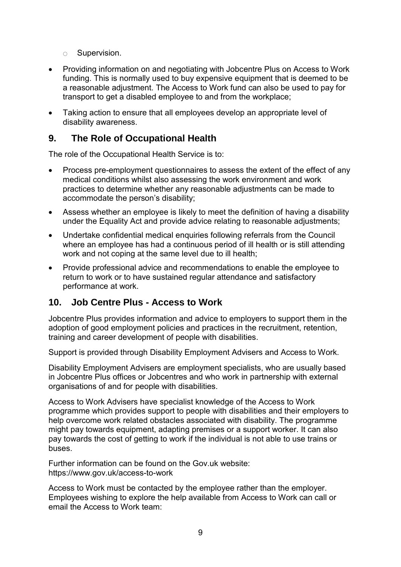- Supervision.
- Providing information on and negotiating with Jobcentre Plus on Access to Work funding. This is normally used to buy expensive equipment that is deemed to be a reasonable adjustment. The Access to Work fund can also be used to pay for transport to get a disabled employee to and from the workplace;
- Taking action to ensure that all employees develop an appropriate level of disability awareness.

#### **9. The Role of Occupational Health**

The role of the Occupational Health Service is to:

- Process pre-employment questionnaires to assess the extent of the effect of any medical conditions whilst also assessing the work environment and work practices to determine whether any reasonable adjustments can be made to accommodate the person's disability;
- Assess whether an employee is likely to meet the definition of having a disability under the Equality Act and provide advice relating to reasonable adjustments;
- Undertake confidential medical enquiries following referrals from the Council where an employee has had a continuous period of ill health or is still attending work and not coping at the same level due to ill health;
- Provide professional advice and recommendations to enable the employee to return to work or to have sustained regular attendance and satisfactory performance at work.

### **10. Job Centre Plus - Access to Work**

Jobcentre Plus provides information and advice to employers to support them in the adoption of good employment policies and practices in the recruitment, retention, training and career development of people with disabilities.

Support is provided through Disability Employment Advisers and Access to Work.

Disability Employment Advisers are employment specialists, who are usually based in Jobcentre Plus offices or Jobcentres and who work in partnership with external organisations of and for people with disabilities.

Access to Work Advisers have specialist knowledge of the Access to Work programme which provides support to people with disabilities and their employers to help overcome work related obstacles associated with disability. The programme might pay towards equipment, adapting premises or a support worker. It can also pay towards the cost of getting to work if the individual is not able to use trains or buses.

Further information can be found on the Gov.uk website: https://www.gov.uk/access-to-work

Access to Work must be contacted by the employee rather than the employer. Employees wishing to explore the help available from Access to Work can call or email the Access to Work team: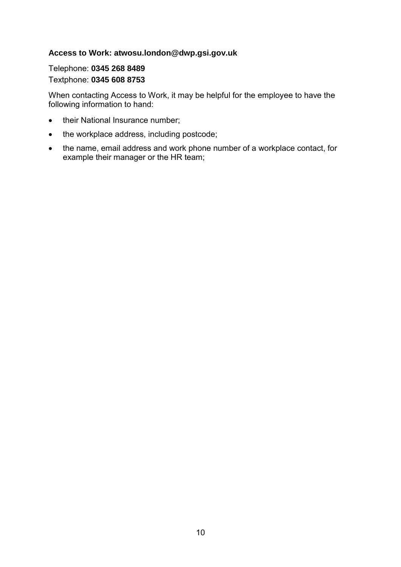#### **Access to Work: atwosu.london@dwp.gsi.gov.uk**

#### Telephone: **0345 268 8489** Textphone: **0345 608 8753**

When contacting Access to Work, it may be helpful for the employee to have the following information to hand:

- their National Insurance number;
- the workplace address, including postcode;
- the name, email address and work phone number of a workplace contact, for example their manager or the HR team;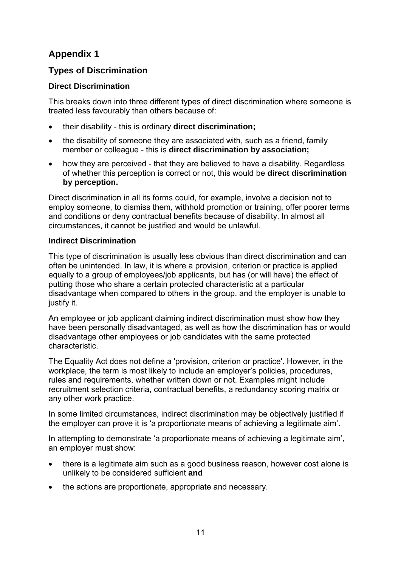## **Appendix 1**

#### **Types of Discrimination**

#### **Direct Discrimination**

This breaks down into three different types of direct discrimination where someone is treated less favourably than others because of:

- their disability this is ordinary **direct discrimination;**
- the disability of someone they are associated with, such as a friend, family member or colleague - this is **direct discrimination by association;**
- how they are perceived that they are believed to have a disability. Regardless of whether this perception is correct or not, this would be **direct discrimination by perception.**

Direct discrimination in all its forms could, for example, involve a decision not to employ someone, to dismiss them, withhold promotion or training, offer poorer terms and conditions or deny contractual benefits because of disability. In almost all circumstances, it cannot be justified and would be unlawful.

#### **Indirect Discrimination**

This type of discrimination is usually less obvious than direct discrimination and can often be unintended. In law, it is where a provision, criterion or practice is applied equally to a group of employees/job applicants, but has (or will have) the effect of putting those who share a certain protected characteristic at a particular disadvantage when compared to others in the group, and the employer is unable to justify it.

An employee or job applicant claiming indirect discrimination must show how they have been personally disadvantaged, as well as how the discrimination has or would disadvantage other employees or job candidates with the same protected characteristic.

The Equality Act does not define a 'provision, criterion or practice'. However, in the workplace, the term is most likely to include an employer's policies, procedures, rules and requirements, whether written down or not. Examples might include recruitment selection criteria, contractual benefits, a redundancy scoring matrix or any other work practice.

In some limited circumstances, indirect discrimination may be objectively justified if the employer can prove it is 'a proportionate means of achieving a legitimate aim'.

In attempting to demonstrate 'a proportionate means of achieving a legitimate aim', an employer must show:

- there is a legitimate aim such as a good business reason, however cost alone is unlikely to be considered sufficient **and**
- the actions are proportionate, appropriate and necessary.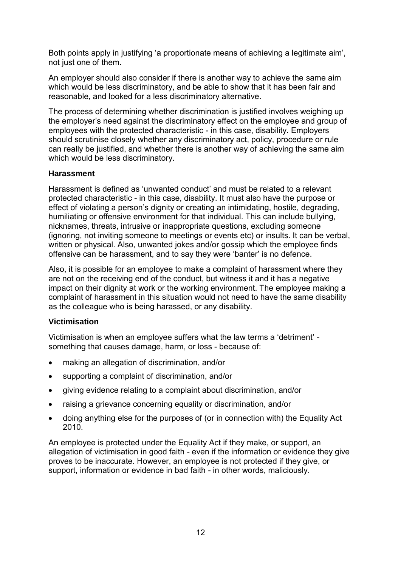Both points apply in justifying 'a proportionate means of achieving a legitimate aim', not just one of them.

An employer should also consider if there is another way to achieve the same aim which would be less discriminatory, and be able to show that it has been fair and reasonable, and looked for a less discriminatory alternative.

The process of determining whether discrimination is justified involves weighing up the employer's need against the discriminatory effect on the employee and group of employees with the protected characteristic - in this case, disability. Employers should scrutinise closely whether any discriminatory act, policy, procedure or rule can really be justified, and whether there is another way of achieving the same aim which would be less discriminatory.

#### **Harassment**

Harassment is defined as 'unwanted conduct' and must be related to a relevant protected characteristic - in this case, disability. It must also have the purpose or effect of violating a person's dignity or creating an intimidating, hostile, degrading, humiliating or offensive environment for that individual. This can include bullying, nicknames, threats, intrusive or inappropriate questions, excluding someone (ignoring, not inviting someone to meetings or events etc) or insults. It can be verbal, written or physical. Also, unwanted jokes and/or gossip which the employee finds offensive can be harassment, and to say they were 'banter' is no defence.

Also, it is possible for an employee to make a complaint of harassment where they are not on the receiving end of the conduct, but witness it and it has a negative impact on their dignity at work or the working environment. The employee making a complaint of harassment in this situation would not need to have the same disability as the colleague who is being harassed, or any disability.

#### **Victimisation**

Victimisation is when an employee suffers what the law terms a 'detriment' something that causes damage, harm, or loss - because of:

- making an allegation of discrimination, and/or
- supporting a complaint of discrimination, and/or
- giving evidence relating to a complaint about discrimination, and/or
- raising a grievance concerning equality or discrimination, and/or
- doing anything else for the purposes of (or in connection with) the Equality Act 2010.

An employee is protected under the Equality Act if they make, or support, an allegation of victimisation in good faith - even if the information or evidence they give proves to be inaccurate. However, an employee is not protected if they give, or support, information or evidence in bad faith - in other words, maliciously.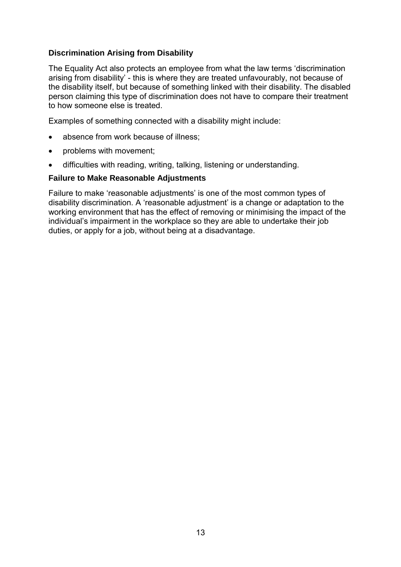#### **Discrimination Arising from Disability**

The Equality Act also protects an employee from what the law terms 'discrimination arising from disability' - this is where they are treated unfavourably, not because of the disability itself, but because of something linked with their disability. The disabled person claiming this type of discrimination does not have to compare their treatment to how someone else is treated.

Examples of something connected with a disability might include:

- absence from work because of illness;
- problems with movement;
- difficulties with reading, writing, talking, listening or understanding.

#### **Failure to Make Reasonable Adjustments**

Failure to make 'reasonable adjustments' is one of the most common types of disability discrimination. A 'reasonable adjustment' is a change or adaptation to the working environment that has the effect of removing or minimising the impact of the individual's impairment in the workplace so they are able to undertake their job duties, or apply for a job, without being at a disadvantage.